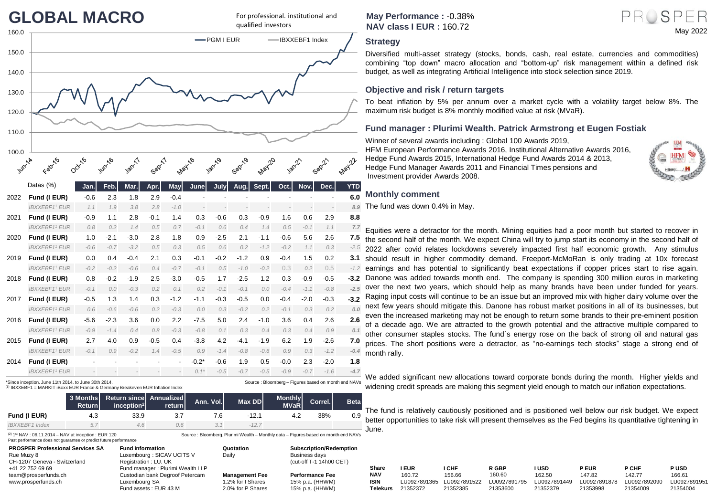# **GLOBAL MACRO**

For professional. institutional and qualified investors



\*Since inception. June 11th 2014. to June 30th 2014.

(1) IBXXEBF1 = MARKIT iBoxx EUR France & Germany Breakeven EUR Inflation Index

|                       | <b>Return</b> | 3 Months Return since Annualized Ann. Vol.<br>incention <sup>2</sup> | returnl | Max DD | <b>Monthly</b><br><b>MVaR</b> | Correl. <sup>1</sup> | <b>Beta</b> |
|-----------------------|---------------|----------------------------------------------------------------------|---------|--------|-------------------------------|----------------------|-------------|
| Fund (I EUR)          | 4.3           | 33.9                                                                 |         | -12.1  |                               | 38%                  | 0.9         |
| <b>IBXXEBF1</b> Index | 5.1           | 4.6                                                                  |         |        |                               |                      |             |

(2) 1 st NAV : 06.11.2014 – NAV at inception : EUR 120 Past performance does not guarantee or predict future performance

| <b>PROSPER Professional Services SA</b> | <b>Fund information</b>          | Quotation             | <b>Subscription/Redemption</b> |
|-----------------------------------------|----------------------------------|-----------------------|--------------------------------|
| Rue Muzy 8                              | Luxembourg : SICAV UCITS V       | Daily                 | Business davs                  |
| CH-1207 Geneva - Switzerland            | Registration: LU. UK             |                       | (cut-off T-1 14h00 CET)        |
| +41 22 752 69 69                        | Fund manager: Plurimi Wealth LLP |                       |                                |
| team@prosperfunds.ch                    | Custodian bank Degroof Petercam  | <b>Management Fee</b> | <b>Performance Fee</b>         |
| www.prosperfunds.ch                     | Luxembourg SA                    | 1.2% for I Shares     | 15% p.a. (HHWM)                |
|                                         |                                  | $0.0011$ $0.01$       | $1 - \lambda$ $(1 + 1)$        |

Source : Bloomberg – Figures based on month end NAVs

Source : Bloomberg. Plurimi Wealth – Monthly data – Figures based on month end NAVs

**May Performance :** -0.38% **NAV class I EUR :** 160.72



Diversified multi-asset strategy (stocks, bonds, cash, real estate, currencies and commodities) combining "top down" macro allocation and "bottom-up" risk management within a defined risk budget, as well as integrating Artificial Intelligence into stock selection since 2019.

### **Objective and risk / return targets**

To beat inflation by 5% per annum over a market cycle with a volatility target below 8%. The maximum risk budget is 8% monthly modified value at risk (MVaR).

### **Fund manager : Plurimi Wealth. Patrick Armstrong et Eugen Fostiak**

Winner of several awards including : Global 100 Awards 2019, HFM European Performance Awards 2016, Institutional Alternative Awards 2016, Hedge Fund Awards 2015, International Hedge Fund Awards 2014 & 2013, Hedge Fund Manager Awards 2011 and Financial Times pensions and Investment provider Awards 2008.



May 2022

PROSPER

### **Monthly comment**

The fund was down 0.4% in May.

Equities were a detractor for the month. Mining equities had a poor month but started to recover in the second half of the month. We expect China will try to jump start its economy in the second half of 2022 after covid relates lockdowns severely impacted first half economic growth. Any stimulus should result in higher commodity demand. Freeport-McMoRan is only trading at 10x forecast earnings and has potential to significantly beat expectations if copper prices start to rise again. 3.2 Danone was added towards month end. The company is spending 300 million euros in marketing over the next two years, which should help as many brands have been under funded for years. Raging input costs will continue to be an issue but an improved mix with higher dairy volume over the next few years should mitigate this. Danone has robust market positions in all of its businesses, but even the increased marketing may not be enough to return some brands to their pre-eminent position of a decade ago. We are attracted to the growth potential and the attractive multiple compared to other consumer staples stocks. The fund`s energy rose on the back of strong oil and natural gas prices. The short positions were a detractor, as "no-earnings tech stocks" stage a strong end of month rally.

We added significant new allocations toward corporate bonds during the month. Higher yields and widening credit spreads are making this segment yield enough to match our inflation expectations.

The fund is relatively cautiously positioned and is positioned well below our risk budget. We expect better opportunities to take risk will present themselves as the Fed begins its quantitative tightening in June.

| +41 22 752 69 69     |                                       |
|----------------------|---------------------------------------|
|                      | <b>PUSD</b>                           |
| team@prosperfunds.ch | 166.61                                |
| www.prosperfunds.ch  | LU0927891951                          |
|                      | 21354004                              |
|                      | LU0927891878 LU0927892090<br>21354009 |